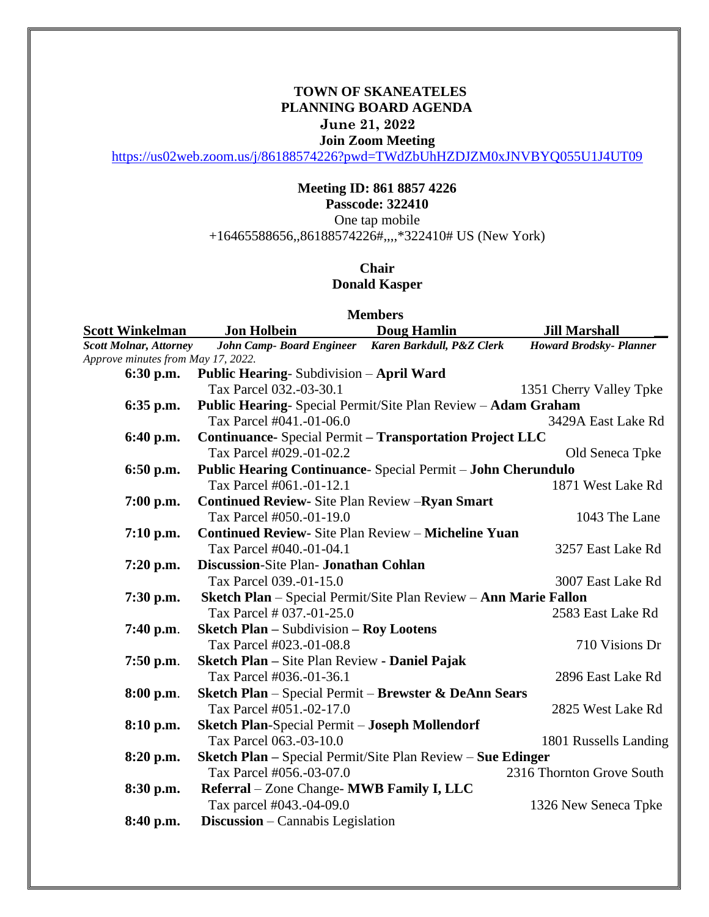## **TOWN OF SKANEATELES PLANNING BOARD AGENDA June 21, 2022 Join Zoom Meeting**

<https://us02web.zoom.us/j/86188574226?pwd=TWdZbUhHZDJZM0xJNVBYQ055U1J4UT09>

## **Meeting ID: 861 8857 4226 Passcode: 322410**

One tap mobile

+16465588656,,86188574226#,,,,\*322410# US (New York)

## **Chair Donald Kasper**

| <b>Members</b>                     |                                                                    |                    |                                |
|------------------------------------|--------------------------------------------------------------------|--------------------|--------------------------------|
| <b>Scott Winkelman</b>             | <b>Jon Holbein</b>                                                 | <b>Doug Hamlin</b> | <b>Jill Marshall</b>           |
| <b>Scott Molnar, Attorney</b>      | John Camp- Board Engineer Karen Barkdull, P&Z Clerk                |                    | <b>Howard Brodsky- Planner</b> |
| Approve minutes from May 17, 2022. |                                                                    |                    |                                |
| 6:30 p.m.                          | <b>Public Hearing-Subdivision - April Ward</b>                     |                    |                                |
|                                    | Tax Parcel 032.-03-30.1                                            |                    | 1351 Cherry Valley Tpke        |
| 6:35 p.m.                          | Public Hearing- Special Permit/Site Plan Review - Adam Graham      |                    |                                |
|                                    | Tax Parcel #041.-01-06.0                                           |                    | 3429A East Lake Rd             |
| 6:40 p.m.                          | <b>Continuance-</b> Special Permit - Transportation Project LLC    |                    |                                |
|                                    | Tax Parcel #029.-01-02.2                                           |                    | Old Seneca Tpke                |
| 6:50 p.m.                          | Public Hearing Continuance- Special Permit - John Cherundulo       |                    |                                |
|                                    | Tax Parcel #061.-01-12.1                                           |                    | 1871 West Lake Rd              |
| 7:00 p.m.                          | <b>Continued Review-Site Plan Review - Ryan Smart</b>              |                    |                                |
|                                    | Tax Parcel #050.-01-19.0                                           |                    | 1043 The Lane                  |
| $7:10$ p.m.                        | <b>Continued Review-</b> Site Plan Review - Micheline Yuan         |                    |                                |
|                                    | Tax Parcel #040.-01-04.1                                           |                    | 3257 East Lake Rd              |
| 7:20 p.m.                          | <b>Discussion-Site Plan- Jonathan Cohlan</b>                       |                    |                                |
|                                    | Tax Parcel 039.-01-15.0                                            |                    | 3007 East Lake Rd              |
| 7:30 p.m.                          | Sketch Plan - Special Permit/Site Plan Review - Ann Marie Fallon   |                    |                                |
|                                    | Tax Parcel # 037.-01-25.0                                          |                    | 2583 East Lake Rd              |
| 7:40 p.m.                          | <b>Sketch Plan – Subdivision – Roy Lootens</b>                     |                    |                                |
|                                    | Tax Parcel #023.-01-08.8                                           |                    | 710 Visions Dr                 |
| $7:50$ p.m.                        | Sketch Plan - Site Plan Review - Daniel Pajak                      |                    |                                |
|                                    | Tax Parcel #036.-01-36.1                                           |                    | 2896 East Lake Rd              |
| 8:00 p.m.                          | Sketch Plan - Special Permit - Brewster & DeAnn Sears              |                    |                                |
|                                    | Tax Parcel #051.-02-17.0                                           |                    | 2825 West Lake Rd              |
| 8:10 p.m.                          | <b>Sketch Plan-Special Permit - Joseph Mollendorf</b>              |                    |                                |
|                                    | Tax Parcel 063.-03-10.0                                            |                    | 1801 Russells Landing          |
| 8:20 p.m.                          | <b>Sketch Plan – Special Permit/Site Plan Review – Sue Edinger</b> |                    |                                |
|                                    | Tax Parcel #056.-03-07.0                                           |                    | 2316 Thornton Grove South      |
| 8:30 p.m.                          | Referral - Zone Change- MWB Family I, LLC                          |                    |                                |
|                                    | Tax parcel #043.-04-09.0                                           |                    | 1326 New Seneca Tpke           |
| 8:40 p.m.                          | <b>Discussion</b> – Cannabis Legislation                           |                    |                                |